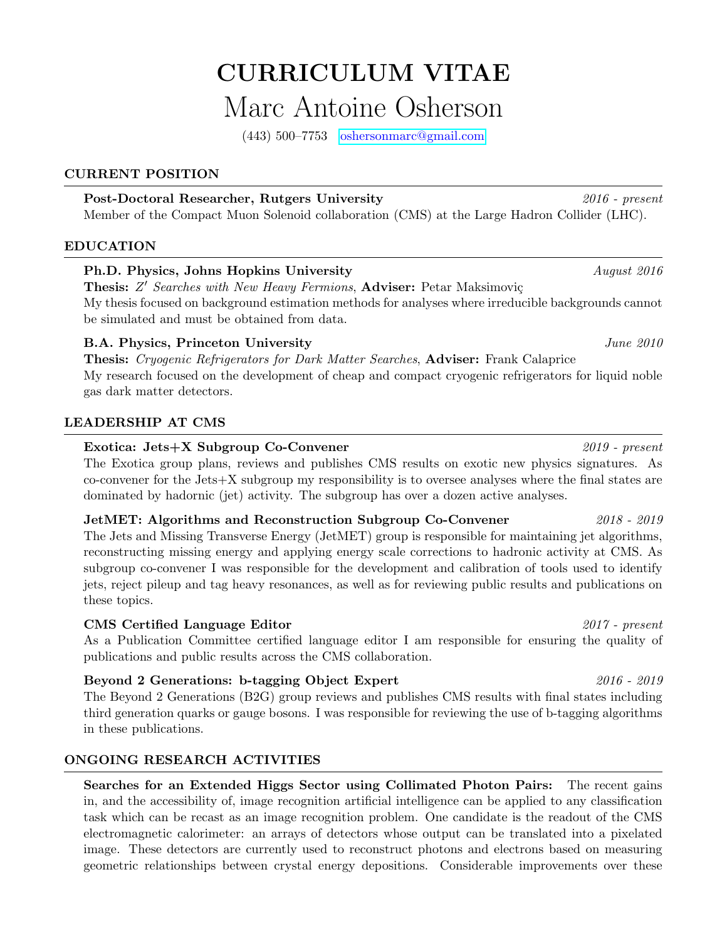# CURRICULUM VITAE Marc Antoine Osherson

(443) 500–7753 [oshersonmarc@gmail.com](mailto:oshersonmarc@gmail.com)

## CURRENT POSITION

## Post-Doctoral Researcher, Rutgers University 2016 - present

Member of the Compact Muon Solenoid collaboration (CMS) at the Large Hadron Collider (LHC).

## EDUCATION

# Ph.D. Physics, Johns Hopkins University August 2016

Thesis: Z' Searches with New Heavy Fermions, Adviser: Petar Maksimoviç My thesis focused on background estimation methods for analyses where irreducible backgrounds cannot be simulated and must be obtained from data.

# B.A. Physics, Princeton University June 2010

Thesis: Cryogenic Refrigerators for Dark Matter Searches, Adviser: Frank Calaprice My research focused on the development of cheap and compact cryogenic refrigerators for liquid noble gas dark matter detectors.

# LEADERSHIP AT CMS

## Exotica: Jets+X Subgroup Co-Convener 2019 - present

The Exotica group plans, reviews and publishes CMS results on exotic new physics signatures. As co-convener for the Jets+X subgroup my responsibility is to oversee analyses where the final states are dominated by hadornic (jet) activity. The subgroup has over a dozen active analyses.

## JetMET: Algorithms and Reconstruction Subgroup Co-Convener 2018 - 2019

The Jets and Missing Transverse Energy (JetMET) group is responsible for maintaining jet algorithms, reconstructing missing energy and applying energy scale corrections to hadronic activity at CMS. As subgroup co-convener I was responsible for the development and calibration of tools used to identify jets, reject pileup and tag heavy resonances, as well as for reviewing public results and publications on these topics.

# CMS Certified Language Editor 2017 - present

As a Publication Committee certified language editor I am responsible for ensuring the quality of publications and public results across the CMS collaboration.

# Beyond 2 Generations: b-tagging Object Expert 2016 - 2019

The Beyond 2 Generations (B2G) group reviews and publishes CMS results with final states including third generation quarks or gauge bosons. I was responsible for reviewing the use of b-tagging algorithms in these publications.

# ONGOING RESEARCH ACTIVITIES

Searches for an Extended Higgs Sector using Collimated Photon Pairs: The recent gains in, and the accessibility of, image recognition artificial intelligence can be applied to any classification task which can be recast as an image recognition problem. One candidate is the readout of the CMS electromagnetic calorimeter: an arrays of detectors whose output can be translated into a pixelated image. These detectors are currently used to reconstruct photons and electrons based on measuring geometric relationships between crystal energy depositions. Considerable improvements over these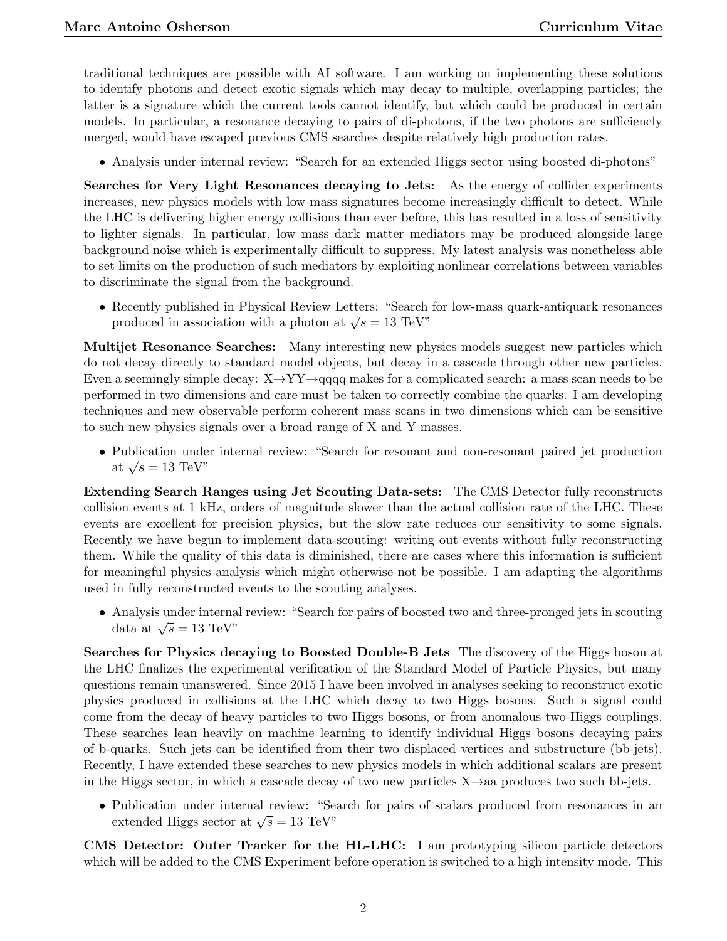traditional techniques are possible with AI software. I am working on implementing these solutions to identify photons and detect exotic signals which may decay to multiple, overlapping particles; the latter is a signature which the current tools cannot identify, but which could be produced in certain models. In particular, a resonance decaying to pairs of di-photons, if the two photons are sufficiencly merged, would have escaped previous CMS searches despite relatively high production rates.

• Analysis under internal review: "Search for an extended Higgs sector using boosted di-photons"

Searches for Very Light Resonances decaying to Jets: As the energy of collider experiments increases, new physics models with low-mass signatures become increasingly difficult to detect. While the LHC is delivering higher energy collisions than ever before, this has resulted in a loss of sensitivity to lighter signals. In particular, low mass dark matter mediators may be produced alongside large background noise which is experimentally difficult to suppress. My latest analysis was nonetheless able to set limits on the production of such mediators by exploiting nonlinear correlations between variables to discriminate the signal from the background.

• Recently published in Physical Review Letters: "Search for low-mass quark-antiquark resonances produced in association with a photon at  $\sqrt{s} = 13$  TeV"

Multijet Resonance Searches: Many interesting new physics models suggest new particles which do not decay directly to standard model objects, but decay in a cascade through other new particles. Even a seemingly simple decay:  $X \rightarrow YY \rightarrow qqqq$  makes for a complicated search: a mass scan needs to be performed in two dimensions and care must be taken to correctly combine the quarks. I am developing techniques and new observable perform coherent mass scans in two dimensions which can be sensitive to such new physics signals over a broad range of X and Y masses.

• Publication under internal review: "Search for resonant and non-resonant paired jet production at  $\sqrt{s} = 13$  TeV"

Extending Search Ranges using Jet Scouting Data-sets: The CMS Detector fully reconstructs collision events at 1 kHz, orders of magnitude slower than the actual collision rate of the LHC. These events are excellent for precision physics, but the slow rate reduces our sensitivity to some signals. Recently we have begun to implement data-scouting: writing out events without fully reconstructing them. While the quality of this data is diminished, there are cases where this information is sufficient for meaningful physics analysis which might otherwise not be possible. I am adapting the algorithms used in fully reconstructed events to the scouting analyses.

• Analysis under internal review: "Search for pairs of boosted two and three-pronged jets in scouting Anarysis under interna<br>data at  $\sqrt{s}=13{\rm ~TeV}$ "

Searches for Physics decaying to Boosted Double-B Jets The discovery of the Higgs boson at the LHC finalizes the experimental verification of the Standard Model of Particle Physics, but many questions remain unanswered. Since 2015 I have been involved in analyses seeking to reconstruct exotic physics produced in collisions at the LHC which decay to two Higgs bosons. Such a signal could come from the decay of heavy particles to two Higgs bosons, or from anomalous two-Higgs couplings. These searches lean heavily on machine learning to identify individual Higgs bosons decaying pairs of b-quarks. Such jets can be identified from their two displaced vertices and substructure (bb-jets). Recently, I have extended these searches to new physics models in which additional scalars are present in the Higgs sector, in which a cascade decay of two new particles  $X\rightarrow aa$  produces two such bb-jets.

• Publication under internal review: "Search for pairs of scalars produced from resonances in an r ubhcation under internal review. Sea<br>extended Higgs sector at  $\sqrt{s} = 13$  TeV"

CMS Detector: Outer Tracker for the HL-LHC: I am prototyping silicon particle detectors which will be added to the CMS Experiment before operation is switched to a high intensity mode. This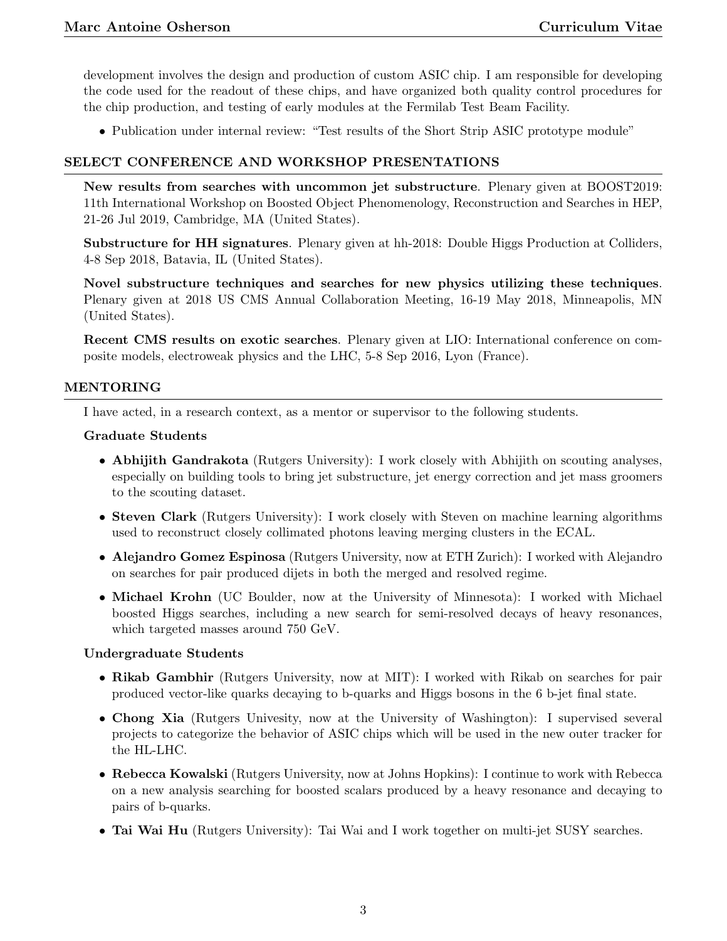development involves the design and production of custom ASIC chip. I am responsible for developing the code used for the readout of these chips, and have organized both quality control procedures for the chip production, and testing of early modules at the Fermilab Test Beam Facility.

• Publication under internal review: "Test results of the Short Strip ASIC prototype module"

#### SELECT CONFERENCE AND WORKSHOP PRESENTATIONS

New results from searches with uncommon jet substructure. Plenary given at BOOST2019: 11th International Workshop on Boosted Object Phenomenology, Reconstruction and Searches in HEP, 21-26 Jul 2019, Cambridge, MA (United States).

Substructure for HH signatures. Plenary given at hh-2018: Double Higgs Production at Colliders, 4-8 Sep 2018, Batavia, IL (United States).

Novel substructure techniques and searches for new physics utilizing these techniques. Plenary given at 2018 US CMS Annual Collaboration Meeting, 16-19 May 2018, Minneapolis, MN (United States).

Recent CMS results on exotic searches. Plenary given at LIO: International conference on composite models, electroweak physics and the LHC, 5-8 Sep 2016, Lyon (France).

### MENTORING

I have acted, in a research context, as a mentor or supervisor to the following students.

### Graduate Students

- Abhijith Gandrakota (Rutgers University): I work closely with Abhijith on scouting analyses, especially on building tools to bring jet substructure, jet energy correction and jet mass groomers to the scouting dataset.
- Steven Clark (Rutgers University): I work closely with Steven on machine learning algorithms used to reconstruct closely collimated photons leaving merging clusters in the ECAL.
- Alejandro Gomez Espinosa (Rutgers University, now at ETH Zurich): I worked with Alejandro on searches for pair produced dijets in both the merged and resolved regime.
- Michael Krohn (UC Boulder, now at the University of Minnesota): I worked with Michael boosted Higgs searches, including a new search for semi-resolved decays of heavy resonances, which targeted masses around 750 GeV.

#### Undergraduate Students

- Rikab Gambhir (Rutgers University, now at MIT): I worked with Rikab on searches for pair produced vector-like quarks decaying to b-quarks and Higgs bosons in the 6 b-jet final state.
- Chong Xia (Rutgers Univesity, now at the University of Washington): I supervised several projects to categorize the behavior of ASIC chips which will be used in the new outer tracker for the HL-LHC.
- Rebecca Kowalski (Rutgers University, now at Johns Hopkins): I continue to work with Rebecca on a new analysis searching for boosted scalars produced by a heavy resonance and decaying to pairs of b-quarks.
- Tai Wai Hu (Rutgers University): Tai Wai and I work together on multi-jet SUSY searches.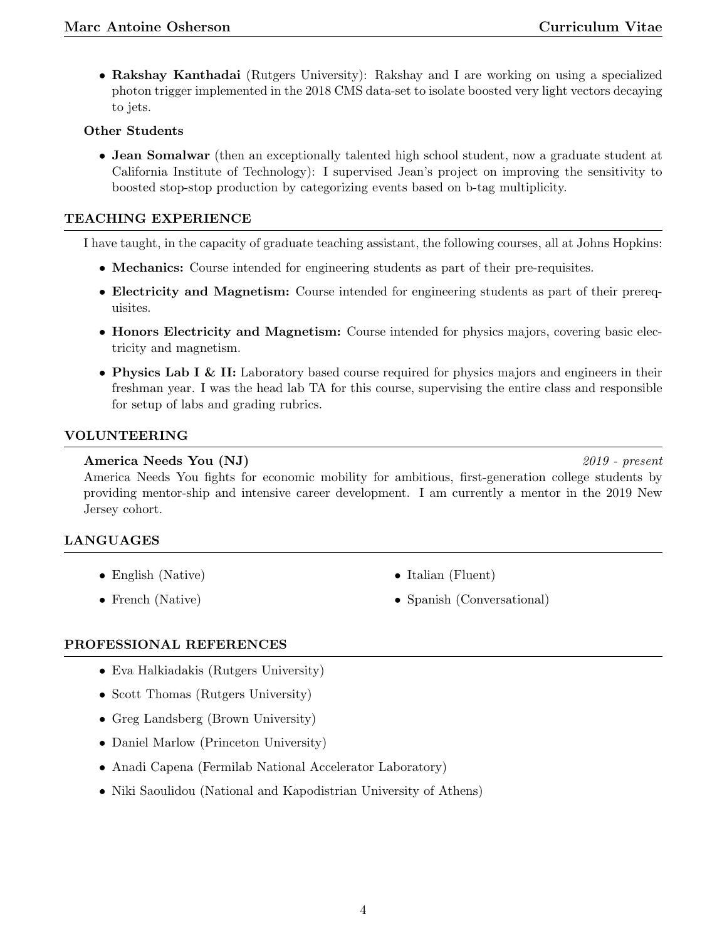• Rakshay Kanthadai (Rutgers University): Rakshay and I are working on using a specialized photon trigger implemented in the 2018 CMS data-set to isolate boosted very light vectors decaying to jets.

## Other Students

• Jean Somalwar (then an exceptionally talented high school student, now a graduate student at California Institute of Technology): I supervised Jean's project on improving the sensitivity to boosted stop-stop production by categorizing events based on b-tag multiplicity.

# TEACHING EXPERIENCE

I have taught, in the capacity of graduate teaching assistant, the following courses, all at Johns Hopkins:

- Mechanics: Course intended for engineering students as part of their pre-requisites.
- Electricity and Magnetism: Course intended for engineering students as part of their prerequisites.
- Honors Electricity and Magnetism: Course intended for physics majors, covering basic electricity and magnetism.
- Physics Lab I & II: Laboratory based course required for physics majors and engineers in their freshman year. I was the head lab TA for this course, supervising the entire class and responsible for setup of labs and grading rubrics.

## VOLUNTEERING

# America Needs You (NJ) 2019 - present

America Needs You fights for economic mobility for ambitious, first-generation college students by providing mentor-ship and intensive career development. I am currently a mentor in the 2019 New Jersey cohort.

# LANGUAGES

- English (Native)
- French (Native)
- Italian (Fluent)
- Spanish (Conversational)

## PROFESSIONAL REFERENCES

- Eva Halkiadakis (Rutgers University)
- Scott Thomas (Rutgers University)
- Greg Landsberg (Brown University)
- Daniel Marlow (Princeton University)
- Anadi Capena (Fermilab National Accelerator Laboratory)
- Niki Saoulidou (National and Kapodistrian University of Athens)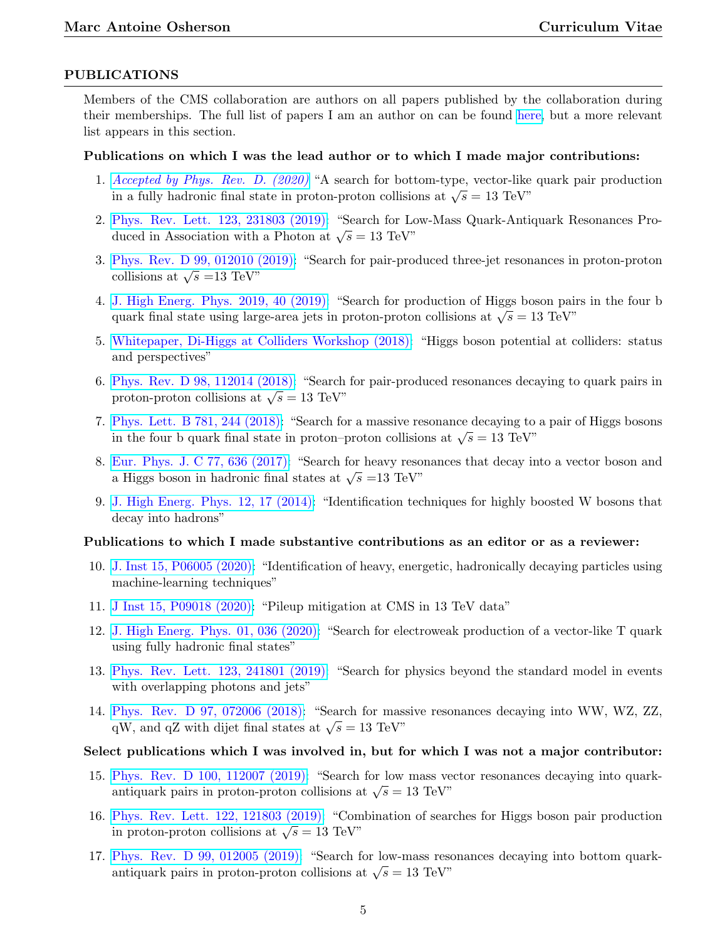#### PUBLICATIONS

Members of the CMS collaboration are authors on all papers published by the collaboration during their memberships. The full list of papers I am an author on can be found [here,](https://inspirehep.net/authors/1074869) but a more relevant list appears in this section.

#### Publications on which I was the lead author or to which I made major contributions:

- 1. [Accepted by Phys. Rev. D. \(2020\)](https://arxiv.org/abs/2008.09835) "A search for bottom-type, vector-like quark pair production in a fully hadronic final state in proton-proton collisions at  $\sqrt{s} = 13$  TeV"
- 2. [Phys. Rev. Lett. 123, 231803 \(2019\):](https://journals.aps.org/prl/abstract/10.1103/PhysRevLett.123.231803) "Search for Low-Mass Quark-Antiquark Resonances Produced in Association with a Photon at  $\sqrt{s} = 13 \text{ TeV}^n$
- 3. [Phys. Rev. D 99, 012010 \(2019\):](https://arxiv.org/abs/1810.10092) "Search for pair-produced three-jet resonances in proton-proton collisions at  $\sqrt{s}$  =13 TeV"
- 4. [J. High Energ. Phys. 2019, 40 \(2019\):](https://link.springer.com/article/10.1007%2FJHEP01%282019%29040) "Search for production of Higgs boson pairs in the four b guark final state using large-area jets in proton-proton collisions at  $\sqrt{s} = 13 \text{ TeV}^n$
- 5. [Whitepaper, Di-Higgs at Colliders Workshop \(2018\):](https://www.sciencedirect.com/science/article/pii/S2405428320300083?via%3Dihub) "Higgs boson potential at colliders: status and perspectives"
- 6. [Phys. Rev. D 98, 112014 \(2018\):](https://journals.aps.org/prd/abstract/10.1103/PhysRevD.98.112014) "Search for pair-produced resonances decaying to quark pairs in proton-proton collisions at  $\sqrt{s} = 13$  TeV"
- 7. [Phys. Lett. B 781, 244 \(2018\):](https://www.sciencedirect.com/science/article/pii/S0370269318302806?via%3Dihub) "Search for a massive resonance decaying to a pair of Higgs bosons in the four b quark final state in proton–proton collisions at  $\sqrt{s} = 13$  TeV"
- 8. [Eur. Phys. J. C 77, 636 \(2017\):](https://link.springer.com/article/10.1140%2Fepjc%2Fs10052-017-5192-z) "Search for heavy resonances that decay into a vector boson and  $\frac{\text{Eau}}{\text{Higgs}}$  boson in hadronic final states at  $\sqrt{s}$  =13 TeV"
- 9. [J. High Energ. Phys. 12, 17 \(2014\):](https://link.springer.com/article/10.1007%2FJHEP12%282014%29017) "Identification techniques for highly boosted W bosons that decay into hadrons"

#### Publications to which I made substantive contributions as an editor or as a reviewer:

- 10. [J. Inst 15, P06005 \(2020\):](https://iopscience.iop.org/article/10.1088/1748-0221/15/06/P06005) "Identification of heavy, energetic, hadronically decaying particles using machine-learning techniques"
- 11. [J Inst 15, P09018 \(2020\):](https://iopscience.iop.org/article/10.1088/1748-0221/15/09/P09018) "Pileup mitigation at CMS in 13 TeV data"
- 12. [J. High Energ. Phys. 01, 036 \(2020\):](https://link.springer.com/article/10.1007%2FJHEP01%282020%29036) "Search for electroweak production of a vector-like T quark using fully hadronic final states"
- 13. [Phys. Rev. Lett. 123, 241801 \(2019\):](https://journals.aps.org/prl/abstract/10.1103/PhysRevLett.123.241801) "Search for physics beyond the standard model in events with overlapping photons and jets"
- 14. [Phys. Rev. D 97, 072006 \(2018\):](https://journals.aps.org/prd/abstract/10.1103/PhysRevD.97.072006) "Search for massive resonances decaying into WW, WZ, ZZ, qW, and qZ with dijet final states at  $\sqrt{s} = 13$  TeV"

#### Select publications which I was involved in, but for which I was not a major contributor:

- 15. [Phys. Rev. D 100, 112007 \(2019\):](https://journals.aps.org/prd/abstract/10.1103/PhysRevD.100.112007) "Search for low mass vector resonances decaying into quarkantiquark pairs in proton-proton collisions at  $\sqrt{s} = 13 \text{ TeV}^n$
- 16. [Phys. Rev. Lett. 122, 121803 \(2019\):](https://journals.aps.org/prl/abstract/10.1103/PhysRevLett.122.121803) "Combination of searches for Higgs boson pair production in proton-proton collisions at  $\sqrt{s} = 13$  TeV"
- 17. [Phys. Rev. D 99, 012005 \(2019\):](https://journals.aps.org/prd/abstract/10.1103/PhysRevD.99.012005) "Search for low-mass resonances decaying into bottom quarkantiquark pairs in proton-proton collisions at  $\sqrt{s} = 13 \text{ TeV}^n$